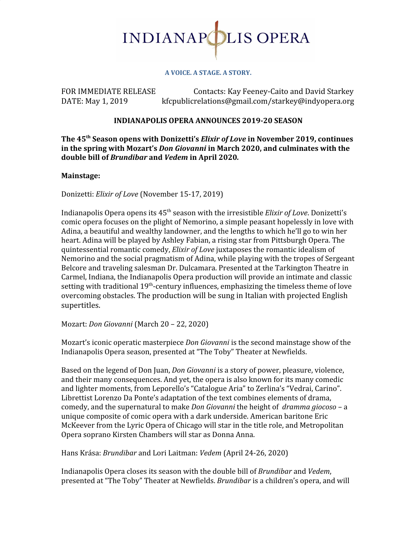

#### **A VOICE. A STAGE. A STORY.**

FOR IMMEDIATE RELEASE Contacts: Kay Feeney-Caito and David Starkey DATE: May 1, 2019 kfcpublicrelations@gmail.com/starkey@indyopera.org

### **INDIANAPOLIS OPERA ANNOUNCES 2019-20 SEASON**

**The 45 th Season opens with Donizetti's** *Elixir of Love* **in November 2019, continues in the spring with Mozart's** *Don Giovanni* **in March 2020, and culminates with the double bill of** *Brundibar* **and** *Vedem* **in April 2020***.*

### **Mainstage:**

Donizetti: *Elixir of Love* (November 15-17, 2019)

Indianapolis Opera opens its 45<sup>th</sup> season with the irresistible *Elixir of Love*. Donizetti's comic opera focuses on the plight of Nemorino, a simple peasant hopelessly in love with Adina, a beautiful and wealthy landowner, and the lengths to which he'll go to win her heart. Adina will be played by Ashley Fabian, a rising star from Pittsburgh Opera. The quintessential romantic comedy, *Elixir of Love* juxtaposes the romantic idealism of Nemorino and the social pragmatism of Adina, while playing with the tropes of Sergeant Belcore and traveling salesman Dr. Dulcamara. Presented at the Tarkington Theatre in Carmel, Indiana, the Indianapolis Opera production will provide an intimate and classic setting with traditional 19<sup>th</sup>-century influences, emphasizing the timeless theme of love overcoming obstacles. The production will be sung in Italian with projected English supertitles.

Mozart: *Don Giovanni* (March 20 – 22, 2020)

Mozart's iconic operatic masterpiece *Don Giovanni* is the second mainstage show of the Indianapolis Opera season, presented at "The Toby" Theater at Newfields.

Based on the legend of Don Juan, *Don Giovanni* is a story of power, pleasure, violence, and their many consequences. And yet, the opera is also known for its many comedic and lighter moments, from Leporello's "Catalogue Aria" to Zerlina's "Vedrai, Carino". Librettist Lorenzo Da Ponte's adaptation of the text combines elements of drama, comedy, and the supernatural to make *Don Giovanni* the height of *dramma giocoso* – a unique composite of comic opera with a dark underside. American baritone Eric McKeever from the Lyric Opera of Chicago will star in the title role, and Metropolitan Opera soprano Kirsten Chambers will star as Donna Anna.

Hans Krása: *Brundibar* and Lori Laitman: *Vedem* (April 24-26, 2020)

Indianapolis Opera closes its season with the double bill of *Brundibar* and *Vedem*, presented at "The Toby" Theater at Newfields. *Brundibar* is a children's opera, and will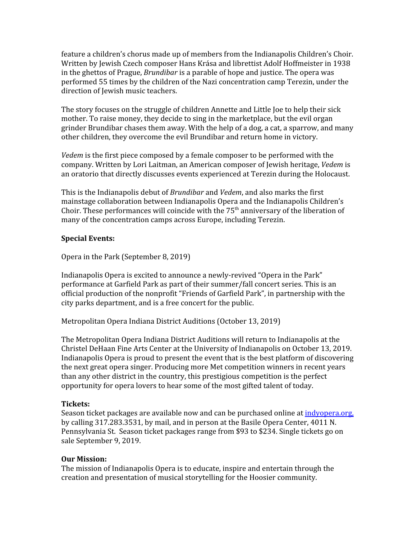feature a children's chorus made up of members from the Indianapolis Children's Choir. Written by Jewish Czech composer Hans Krása and librettist Adolf Hoffmeister in 1938 in the ghettos of Prague, *Brundibar* is a parable of hope and justice. The opera was performed 55 times by the children of the Nazi concentration camp Terezin, under the direction of Jewish music teachers.

The story focuses on the struggle of children Annette and Little Joe to help their sick mother. To raise money, they decide to sing in the marketplace, but the evil organ grinder Brundibar chases them away. With the help of a dog, a cat, a sparrow, and many other children, they overcome the evil Brundibar and return home in victory.

*Vedem* is the first piece composed by a female composer to be performed with the company. Written by Lori Laitman, an American composer of Jewish heritage, *Vedem* is an oratorio that directly discusses events experienced at Terezin during the Holocaust.

This is the Indianapolis debut of *Brundibar* and *Vedem*, and also marks the first mainstage collaboration between Indianapolis Opera and the Indianapolis Children's Choir. These performances will coincide with the  $75<sup>th</sup>$  anniversary of the liberation of many of the concentration camps across Europe, including Terezin.

## **Special Events:**

Opera in the Park (September 8, 2019)

Indianapolis Opera is excited to announce a newly-revived "Opera in the Park" performance at Garfield Park as part of their summer/fall concert series. This is an official production of the nonprofit "Friends of Garfield Park", in partnership with the city parks department, and is a free concert for the public.

Metropolitan Opera Indiana District Auditions (October 13, 2019)

The Metropolitan Opera Indiana District Auditions will return to Indianapolis at the Christel DeHaan Fine Arts Center at the University of Indianapolis on October 13, 2019. Indianapolis Opera is proud to present the event that is the best platform of discovering the next great opera singer. Producing more Met competition winners in recent years than any other district in the country, this prestigious competition is the perfect opportunity for opera lovers to hear some of the most gifted talent of today.

### **Tickets:**

Season ticket packages are available now and can be purchased online at [indyopera.org,](http://www.indyopera.org/) by calling 317.283.3531, by mail, and in person at the Basile Opera Center, 4011 N. Pennsylvania St. Season ticket packages range from \$93 to \$234. Single tickets go on sale September 9, 2019.

# **Our Mission:**

The mission of Indianapolis Opera is to educate, inspire and entertain through the creation and presentation of musical storytelling for the Hoosier community.